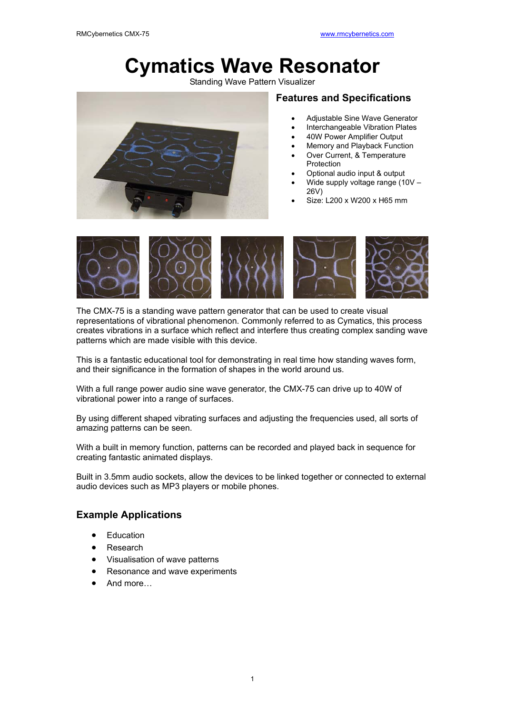# **Cymatics Wave Resonator**

Standing Wave Pattern Visualizer



### **Features and Specifications**

- Adjustable Sine Wave Generator
- Interchangeable Vibration Plates
- 40W Power Amplifier Output
- Memory and Playback Function
- Over Current, & Temperature Protection
- Optional audio input & output
- Wide supply voltage range (10V 26V)
- Size: L200 x W200 x H65 mm



The CMX-75 is a standing wave pattern generator that can be used to create visual representations of vibrational phenomenon. Commonly referred to as Cymatics, this process creates vibrations in a surface which reflect and interfere thus creating complex sanding wave patterns which are made visible with this device.

This is a fantastic educational tool for demonstrating in real time how standing waves form, and their significance in the formation of shapes in the world around us.

With a full range power audio sine wave generator, the CMX-75 can drive up to 40W of vibrational power into a range of surfaces.

By using different shaped vibrating surfaces and adjusting the frequencies used, all sorts of amazing patterns can be seen.

With a built in memory function, patterns can be recorded and played back in sequence for creating fantastic animated displays.

Built in 3.5mm audio sockets, allow the devices to be linked together or connected to external audio devices such as MP3 players or mobile phones.

### **Example Applications**

- Education
- Research
- Visualisation of wave patterns
- Resonance and wave experiments
- And more…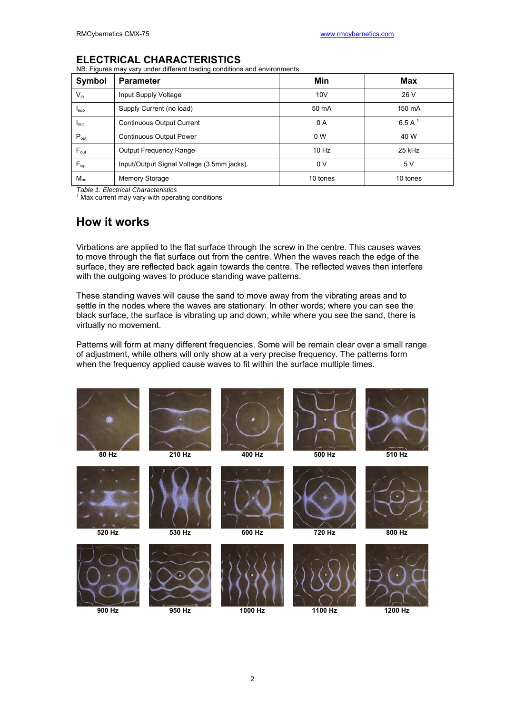### **ELECTRICAL CHARACTERISTICS**

NB: Figures may vary under different loading conditions and environments.

| Symbol           | <b>Parameter</b>                          | Min            | Max       |
|------------------|-------------------------------------------|----------------|-----------|
| $V_{in}$         | Input Supply Voltage                      | 10V            | 26 V      |
| $I_{\text{sup}}$ | Supply Current (no load)                  | 50 mA          | 150 mA    |
| $I_{\text{out}}$ | <b>Continuous Output Current</b>          | 0 A            | 6.5 A $1$ |
| $P_{\text{out}}$ | <b>Continuous Output Power</b>            | 0 <sub>W</sub> | 40 W      |
| $F_{\text{out}}$ | <b>Output Frequency Range</b>             | $10$ Hz        | 25 kHz    |
| $F_{sig}$        | Input/Output Signal Voltage (3.5mm jacks) | 0V             | 5 V       |
| $M_{\text{no}}$  | Memory Storage                            | 10 tones       | 10 tones  |

*Table 1: Electrical Characteristics*

<sup>1</sup> Max current may vary with operating conditions

### **How it works**

Virbations are applied to the flat surface through the screw in the centre. This causes waves to move through the flat surface out from the centre. When the waves reach the edge of the surface, they are reflected back again towards the centre. The reflected waves then interfere with the outgoing waves to produce standing wave patterns.

These standing waves will cause the sand to move away from the vibrating areas and to settle in the nodes where the waves are stationary. In other words; where you can see the black surface, the surface is vibrating up and down, while where you see the sand, there is virtually no movement.

Patterns will form at many different frequencies. Some will be remain clear over a small range of adjustment, while others will only show at a very precise frequency. The patterns form when the frequency applied cause waves to fit within the surface multiple times.

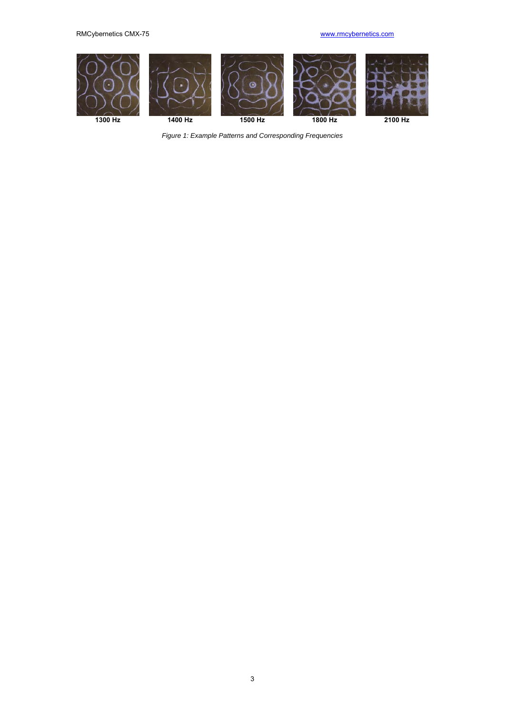

*Figure 1: Example Patterns and Corresponding Frequencies*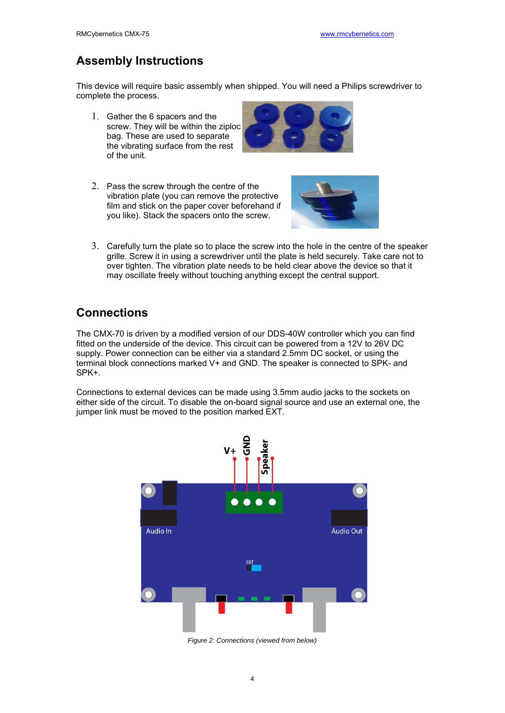# **Assembly Instructions**

This device will require basic assembly when shipped. You will need a Philips screwdriver to complete the process.

1. Gather the 6 spacers and the screw. They will be within the ziploc bag. These are used to separate the vibrating surface from the rest of the unit.



2. Pass the screw through the centre of the vibration plate (you can remove the protective film and stick on the paper cover beforehand if you like). Stack the spacers onto the screw.



3. Carefully turn the plate so to place the screw into the hole in the centre of the speaker grille. Screw it in using a screwdriver until the plate is held securely. Take care not to over tighten. The vibration plate needs to be held clear above the device so that it may oscillate freely without touching anything except the central support.

### **Connections**

The CMX-70 is driven by a modified version of our DDS-40W controller which you can find fitted on the underside of the device. This circuit can be powered from a 12V to 26V DC supply. Power connection can be either via a standard 2.5mm DC socket, or using the terminal block connections marked V+ and GND. The speaker is connected to SPK- and SPK+.

Connections to external devices can be made using 3.5mm audio jacks to the sockets on either side of the circuit. To disable the on-board signal source and use an external one, the jumper link must be moved to the position marked EXT.



*Figure 2: Connections (viewed from below)*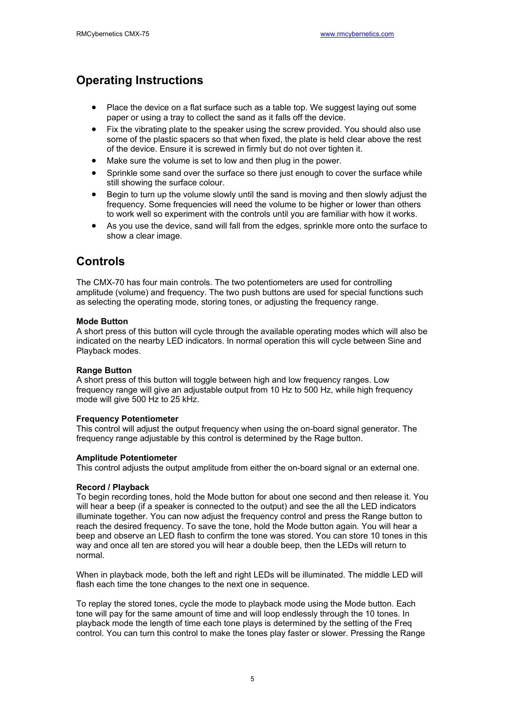# **Operating Instructions**

- Place the device on a flat surface such as a table top. We suggest laying out some paper or using a tray to collect the sand as it falls off the device.
- Fix the vibrating plate to the speaker using the screw provided. You should also use some of the plastic spacers so that when fixed, the plate is held clear above the rest of the device. Ensure it is screwed in firmly but do not over tighten it.
- Make sure the volume is set to low and then plug in the power.
- Sprinkle some sand over the surface so there just enough to cover the surface while still showing the surface colour.
- Begin to turn up the volume slowly until the sand is moving and then slowly adjust the frequency. Some frequencies will need the volume to be higher or lower than others to work well so experiment with the controls until you are familiar with how it works.
- As you use the device, sand will fall from the edges, sprinkle more onto the surface to show a clear image.

### **Controls**

The CMX-70 has four main controls. The two potentiometers are used for controlling amplitude (volume) and frequency. The two push buttons are used for special functions such as selecting the operating mode, storing tones, or adjusting the frequency range.

#### **Mode Button**

A short press of this button will cycle through the available operating modes which will also be indicated on the nearby LED indicators. In normal operation this will cycle between Sine and Playback modes.

#### **Range Button**

A short press of this button will toggle between high and low frequency ranges. Low frequency range will give an adjustable output from 10 Hz to 500 Hz, while high frequency mode will give 500 Hz to 25 kHz.

#### **Frequency Potentiometer**

This control will adjust the output frequency when using the on-board signal generator. The frequency range adjustable by this control is determined by the Rage button.

#### **Amplitude Potentiometer**

This control adjusts the output amplitude from either the on-board signal or an external one.

#### **Record / Playback**

To begin recording tones, hold the Mode button for about one second and then release it. You will hear a beep (if a speaker is connected to the output) and see the all the LED indicators illuminate together. You can now adjust the frequency control and press the Range button to reach the desired frequency. To save the tone, hold the Mode button again. You will hear a beep and observe an LED flash to confirm the tone was stored. You can store 10 tones in this way and once all ten are stored you will hear a double beep, then the LEDs will return to normal.

When in playback mode, both the left and right LEDs will be illuminated. The middle LED will flash each time the tone changes to the next one in sequence.

To replay the stored tones, cycle the mode to playback mode using the Mode button. Each tone will pay for the same amount of time and will loop endlessly through the 10 tones. In playback mode the length of time each tone plays is determined by the setting of the Freq control. You can turn this control to make the tones play faster or slower. Pressing the Range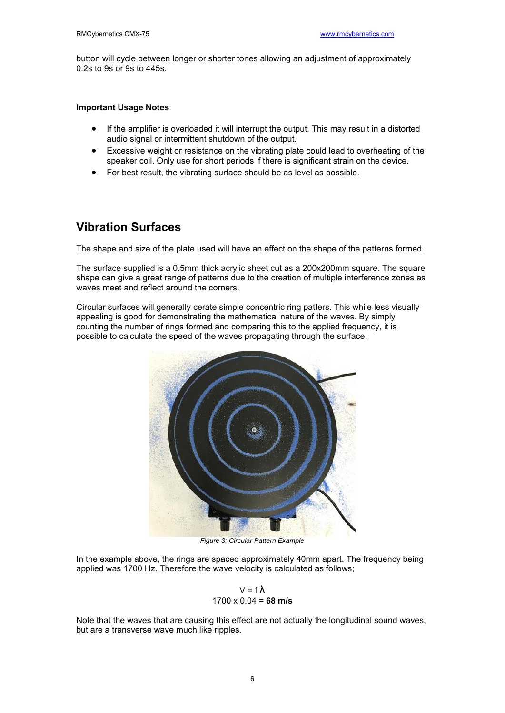button will cycle between longer or shorter tones allowing an adjustment of approximately 0.2s to 9s or 9s to 445s.

#### **Important Usage Notes**

- If the amplifier is overloaded it will interrupt the output. This may result in a distorted audio signal or intermittent shutdown of the output.
- Excessive weight or resistance on the vibrating plate could lead to overheating of the speaker coil. Only use for short periods if there is significant strain on the device.
- For best result, the vibrating surface should be as level as possible.

# **Vibration Surfaces**

The shape and size of the plate used will have an effect on the shape of the patterns formed.

The surface supplied is a 0.5mm thick acrylic sheet cut as a 200x200mm square. The square shape can give a great range of patterns due to the creation of multiple interference zones as waves meet and reflect around the corners.

Circular surfaces will generally cerate simple concentric ring patters. This while less visually appealing is good for demonstrating the mathematical nature of the waves. By simply counting the number of rings formed and comparing this to the applied frequency, it is possible to calculate the speed of the waves propagating through the surface.



*Figure 3: Circular Pattern Example*

In the example above, the rings are spaced approximately 40mm apart. The frequency being applied was 1700 Hz. Therefore the wave velocity is calculated as follows;

$$
V = f \lambda
$$
  
1700 x 0.04 = **68 m/s**

Note that the waves that are causing this effect are not actually the longitudinal sound waves, but are a transverse wave much like ripples.